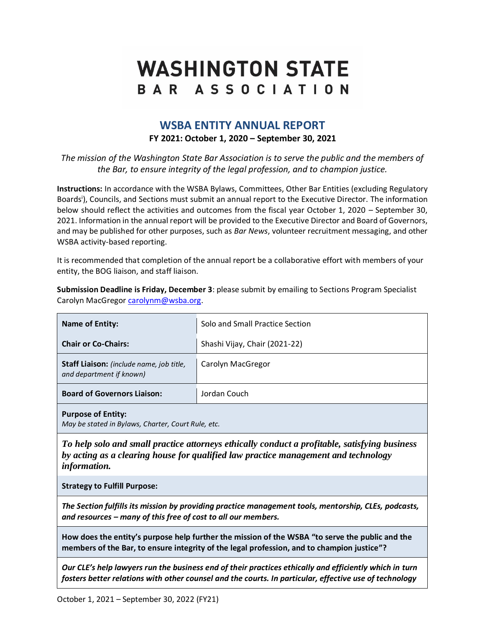# **WASHINGTON STATE** BAR ASSOCIATION

## **WSBA ENTITY ANNUAL REPORT FY 2021: October 1, 2020 – September 30, 2021**

*The mission of the Washington State Bar Association is to serve the public and the members of the Bar, to ensure integrity of the legal profession, and to champion justice.*

**Instructions:** In accordance with the WSBA Bylaws, Committees, Other Bar Entities (excluding Regulatory Boards<sup>i</sup>), Councils, and Sections must submit an annual report to the Executive Director. The information below should reflect the activities and outcomes from the fiscal year October 1, 2020 – September 30, 2021. Information in the annual report will be provided to the Executive Director and Board of Governors, and may be published for other purposes, such as *Bar News*, volunteer recruitment messaging, and other WSBA activity-based reporting.

It is recommended that completion of the annual report be a collaborative effort with members of your entity, the BOG liaison, and staff liaison.

**Submission Deadline is Friday, December 3**: please submit by emailing to Sections Program Specialist Carolyn MacGregor [carolynm@wsba.org.](mailto:carolynm@wsba.org)

| <b>Name of Entity:</b>                                                           | Solo and Small Practice Section |  |  |
|----------------------------------------------------------------------------------|---------------------------------|--|--|
| <b>Chair or Co-Chairs:</b>                                                       | Shashi Vijay, Chair (2021-22)   |  |  |
| Staff Liaison: (include name, job title,<br>and department if known)             | Carolyn MacGregor               |  |  |
| <b>Board of Governors Liaison:</b>                                               | Jordan Couch                    |  |  |
| <b>Purpose of Entity:</b><br>May be stated in Pulguis, Charter, Court Pule, etc. |                                 |  |  |

*May be stated in Bylaws, Charter, Court Rule, etc.*

*To help solo and small practice attorneys ethically conduct a profitable, satisfying business by acting as a clearing house for qualified law practice management and technology information.*

**Strategy to Fulfill Purpose:** 

*The Section fulfills its mission by providing practice management tools, mentorship, CLEs, podcasts, and resources – many of this free of cost to all our members.* 

**How does the entity's purpose help further the mission of the WSBA "to serve the public and the members of the Bar, to ensure integrity of the legal profession, and to champion justice"?**

*Our CLE's help lawyers run the business end of their practices ethically and efficiently which in turn fosters better relations with other counsel and the courts. In particular, effective use of technology*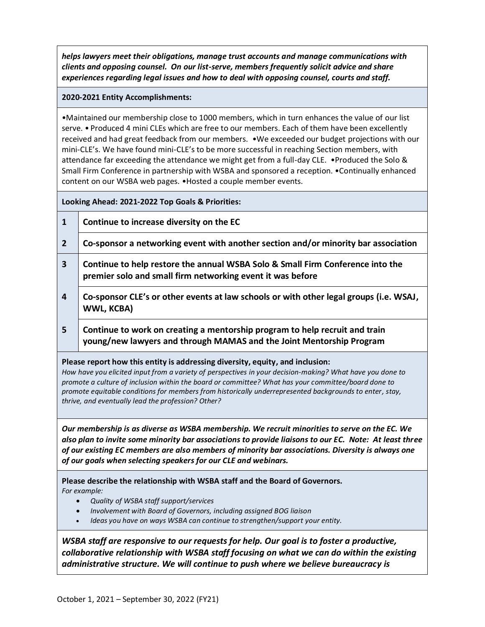*helps lawyers meet their obligations, manage trust accounts and manage communications with clients and opposing counsel. On our list-serve, members frequently solicit advice and share experiences regarding legal issues and how to deal with opposing counsel, courts and staff.*

#### **2020-2021 Entity Accomplishments:**

•Maintained our membership close to 1000 members, which in turn enhances the value of our list serve. • Produced 4 mini CLEs which are free to our members. Each of them have been excellently received and had great feedback from our members. •We exceeded our budget projections with our mini-CLE's. We have found mini-CLE's to be more successful in reaching Section members, with attendance far exceeding the attendance we might get from a full-day CLE. •Produced the Solo & Small Firm Conference in partnership with WSBA and sponsored a reception. •Continually enhanced content on our WSBA web pages. •Hosted a couple member events.

**Looking Ahead: 2021-2022 Top Goals & Priorities:**

- **1 Continue to increase diversity on the EC**
- **2 Co-sponsor a networking event with another section and/or minority bar association**
- **3 Continue to help restore the annual WSBA Solo & Small Firm Conference into the premier solo and small firm networking event it was before**
- **4 Co-sponsor CLE's or other events at law schools or with other legal groups (i.e. WSAJ, WWL, KCBA)**
- **5 Continue to work on creating a mentorship program to help recruit and train young/new lawyers and through MAMAS and the Joint Mentorship Program**

#### **Please report how this entity is addressing diversity, equity, and inclusion:**

*How have you elicited input from a variety of perspectives in your decision-making? What have you done to promote a culture of inclusion within the board or committee? What has your committee/board done to promote equitable conditions for members from historically underrepresented backgrounds to enter, stay, thrive, and eventually lead the profession? Other?*

*Our membership is as diverse as WSBA membership. We recruit minorities to serve on the EC. We also plan to invite some minority bar associations to provide liaisons to our EC. Note: At least three of our existing EC members are also members of minority bar associations. Diversity is always one of our goals when selecting speakers for our CLE and webinars.* 

**Please describe the relationship with WSBA staff and the Board of Governors.**  *For example:* 

- *Quality of WSBA staff support/services*
- *Involvement with Board of Governors, including assigned BOG liaison*
- *Ideas you have on ways WSBA can continue to strengthen/support your entity.*

*WSBA staff are responsive to our requests for help. Our goal is to foster a productive, collaborative relationship with WSBA staff focusing on what we can do within the existing administrative structure. We will continue to push where we believe bureaucracy is*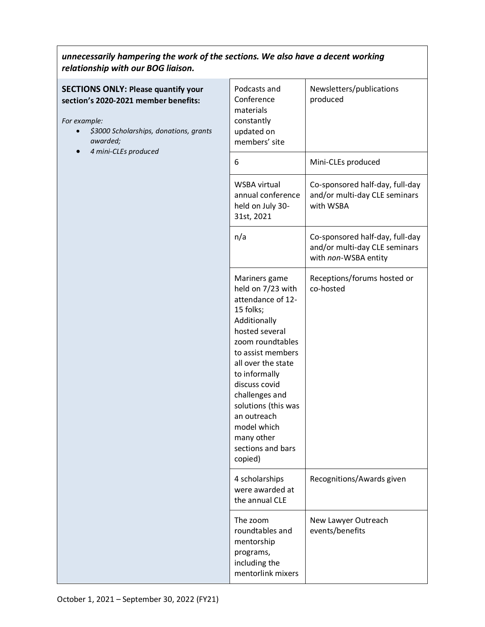## *unnecessarily hampering the work of the sections. We also have a decent working relationship with our BOG liaison.*

### **SECTIONS ONLY: Please quantify your section's 2020-2021 member benefits:**

*For example:*

- *\$3000 Scholarships, donations, grants awarded;*
- *4 mini-CLEs produced*

| Podcasts and<br>Conference<br>materials<br>constantly<br>updated on<br>members' site                                                                                                                                                                                                                                         | Newsletters/publications<br>produced                                                     |  |
|------------------------------------------------------------------------------------------------------------------------------------------------------------------------------------------------------------------------------------------------------------------------------------------------------------------------------|------------------------------------------------------------------------------------------|--|
| 6                                                                                                                                                                                                                                                                                                                            | Mini-CLEs produced                                                                       |  |
| <b>WSBA virtual</b><br>annual conference<br>held on July 30-<br>31st, 2021                                                                                                                                                                                                                                                   | Co-sponsored half-day, full-day<br>and/or multi-day CLE seminars<br>with WSBA            |  |
| n/a                                                                                                                                                                                                                                                                                                                          | Co-sponsored half-day, full-day<br>and/or multi-day CLE seminars<br>with non-WSBA entity |  |
| Mariners game<br>held on 7/23 with<br>attendance of 12-<br>15 folks;<br>Additionally<br>hosted several<br>zoom roundtables<br>to assist members<br>all over the state<br>to informally<br>discuss covid<br>challenges and<br>solutions (this was<br>an outreach<br>model which<br>many other<br>sections and bars<br>copied) | Receptions/forums hosted or<br>co-hosted                                                 |  |
| 4 scholarships<br>were awarded at<br>the annual CLE                                                                                                                                                                                                                                                                          | Recognitions/Awards given                                                                |  |
| The zoom<br>roundtables and<br>mentorship<br>programs,<br>including the<br>mentorlink mixers                                                                                                                                                                                                                                 | New Lawyer Outreach<br>events/benefits                                                   |  |